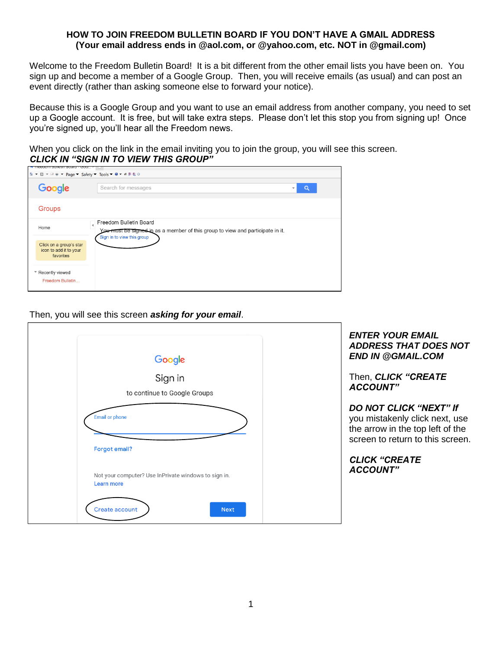# **HOW TO JOIN FREEDOM BULLETIN BOARD IF YOU DON'T HAVE A GMAIL ADDRESS (Your email address ends in @aol.com, or @yahoo.com, etc. NOT in @gmail.com)**

Welcome to the Freedom Bulletin Board! It is a bit different from the other email lists you have been on. You sign up and become a member of a Google Group. Then, you will receive emails (as usual) and can post an event directly (rather than asking someone else to forward your notice).

Because this is a Google Group and you want to use an email address from another company, you need to set up a Google account. It is free, but will take extra steps. Please don't let this stop you from signing up! Once you're signed up, you'll hear all the Freedom news.

When you click on the link in the email inviting you to join the group, you will see this screen. *CLICK IN "SIGN IN TO VIEW THIS GROUP"* 

| <u>. Heedom balletin board - goo</u> l                         |                                                                                                          |  |  |  |
|----------------------------------------------------------------|----------------------------------------------------------------------------------------------------------|--|--|--|
| <b>A ▼ M ▼ M ₩ Page ▼ Safety ▼ Tools ▼ O ▼ W ♥ 車車 ©</b>        |                                                                                                          |  |  |  |
| Google                                                         | Search for messages<br>Q<br>$\overline{\phantom{a}}$                                                     |  |  |  |
| Groups                                                         |                                                                                                          |  |  |  |
| Home                                                           | Freedom Bulletin Board<br>You must be signed in as a member of this group to view and participate in it. |  |  |  |
| Click on a group's star<br>icon to add it to your<br>favorites | Sign in to view this group                                                                               |  |  |  |
| * Recently viewed<br>Freedom Bulletin                          |                                                                                                          |  |  |  |

### Then, you will see this screen *asking for your email*.

| Google                                                                    | <b>ENTER YOUR EMAIL</b><br><b>ADDRESS THAT DOES NOT</b><br><b>END IN @GMAIL.COM</b>                                                     |
|---------------------------------------------------------------------------|-----------------------------------------------------------------------------------------------------------------------------------------|
| Sign in<br>to continue to Google Groups                                   | Then, <b>CLICK</b> "CREATE<br><b>ACCOUNT"</b>                                                                                           |
| <b>Email or phone</b><br><b>Forgot email?</b>                             | <b>DO NOT CLICK "NEXT" If</b><br>you mistakenly click next, use<br>the arrow in the top left of the<br>screen to return to this screen. |
| Not your computer? Use InPrivate windows to sign in.<br><b>Learn more</b> | <b>CLICK "CREATE</b><br><b>ACCOUNT"</b>                                                                                                 |
| Create account<br><b>Next</b>                                             |                                                                                                                                         |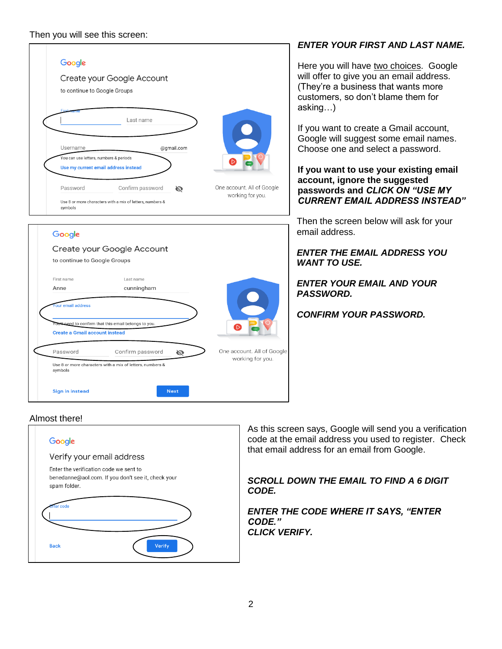

# *ENTER YOUR FIRST AND LAST NAME.*

Here you will have two choices. Google will offer to give you an email address. (They're a business that wants more customers, so don't blame them for asking…)

If you want to create a Gmail account, Google will suggest some email names. Choose one and select a password.

**If you want to use your existing email account, ignore the suggested passwords and** *CLICK ON "USE MY CURRENT EMAIL ADDRESS INSTEAD"*

Then the screen below will ask for your email address.

*ENTER THE EMAIL ADDRESS YOU WANT TO USE.*

*ENTER YOUR EMAIL AND YOUR PASSWORD.* 

*CONFIRM YOUR PASSWORD.*

# Almost there!



As this screen says, Google will send you a verification code at the email address you used to register. Check that email address for an email from Google.

*SCROLL DOWN THE EMAIL TO FIND A 6 DIGIT CODE.* 

*ENTER THE CODE WHERE IT SAYS, "ENTER CODE." CLICK VERIFY.*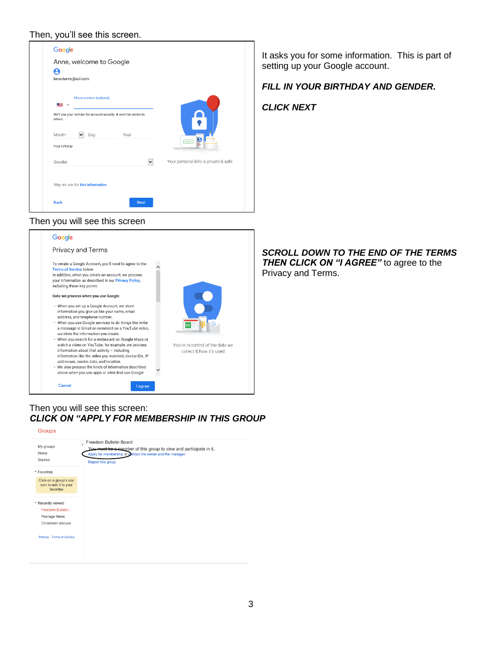### Then, you'll see this screen.

| Google                                                                                                |                                      |  |
|-------------------------------------------------------------------------------------------------------|--------------------------------------|--|
| Anne, welcome to Google                                                                               |                                      |  |
| θ                                                                                                     |                                      |  |
| benedanne@aol.com                                                                                     |                                      |  |
| Phone number (optional)<br>▝▀▏∀<br>We'll use your number for account security. It won't be visible to |                                      |  |
| others.                                                                                               | $\overline{\P}$                      |  |
| Month<br>Year<br>Day                                                                                  |                                      |  |
| Your birthday                                                                                         | ****                                 |  |
| Gender<br>$\checkmark$                                                                                | Your personal info is private & safe |  |
| Why we ask for this information                                                                       |                                      |  |
| <b>Next</b><br><b>Back</b>                                                                            |                                      |  |

### Then you will see this screen



*SCROLL DOWN TO THE END OF THE TERMS* **THEN CLICK ON "I AGREE"** to agree to the Privacy and Terms.

# Then you will see this screen: *CLICK ON "APPLY FOR MEMBERSHIP IN THIS GROUP*



It asks you for some information. This is part of setting up your Google account.

# *FILL IN YOUR BIRTHDAY AND GENDER.*

*CLICK NEXT*